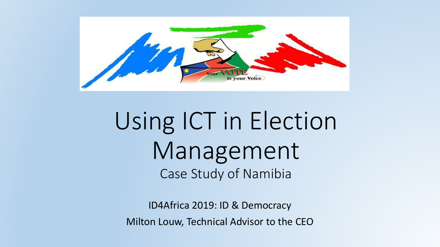

# Using ICT in Election Management Case Study of Namibia

ID4Africa 2019: ID & Democracy Milton Louw, Technical Advisor to the CEO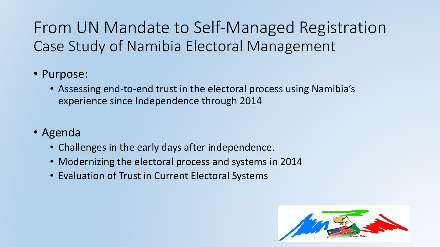From UN Mandate to Self-Managed Registration Case Study of Namibia Electoral Management

#### • Purpose:

- Assessing end-to-end trust in the electoral process using Namibia's experience since Independence through 2014
- Agenda
	- Challenges in the early days after independence.
	- Modernizing the electoral process and systems in 2014
	- Evaluation of Trust in Current Electoral Systems

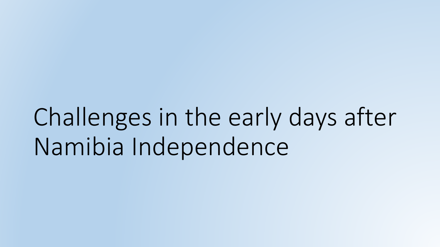Challenges in the early days after Namibia Independence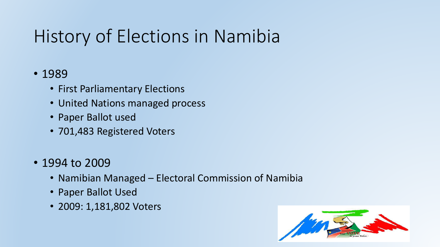# History of Elections in Namibia

#### • 1989

- First Parliamentary Elections
- United Nations managed process
- Paper Ballot used
- 701,483 Registered Voters
- 1994 to 2009
	- Namibian Managed Electoral Commission of Namibia
	- Paper Ballot Used
	- 2009: 1,181,802 Voters

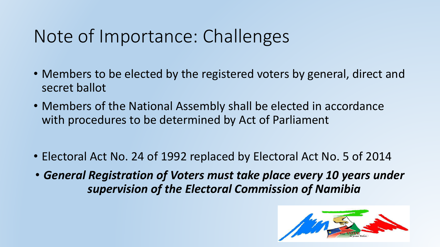### Note of Importance: Challenges

- Members to be elected by the registered voters by general, direct and secret ballot
- Members of the National Assembly shall be elected in accordance with procedures to be determined by Act of Parliament
- Electoral Act No. 24 of 1992 replaced by Electoral Act No. 5 of 2014
- *General Registration of Voters must take place every 10 years under supervision of the Electoral Commission of Namibia*

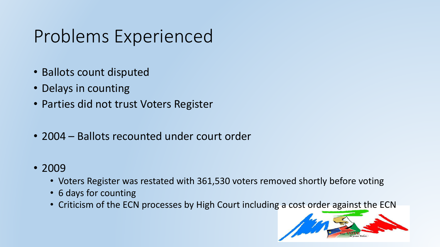### Problems Experienced

- Ballots count disputed
- Delays in counting
- Parties did not trust Voters Register
- 2004 Ballots recounted under court order
- 2009
	- Voters Register was restated with 361,530 voters removed shortly before voting
	- 6 days for counting
	- Criticism of the ECN processes by High Court including a cost order against the ECN

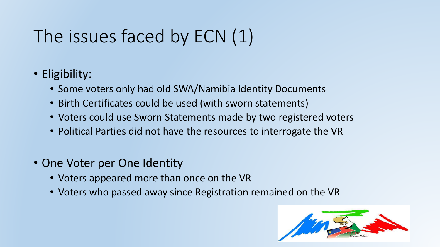# The issues faced by ECN (1)

- Eligibility:
	- Some voters only had old SWA/Namibia Identity Documents
	- Birth Certificates could be used (with sworn statements)
	- Voters could use Sworn Statements made by two registered voters
	- Political Parties did not have the resources to interrogate the VR
- One Voter per One Identity
	- Voters appeared more than once on the VR
	- Voters who passed away since Registration remained on the VR

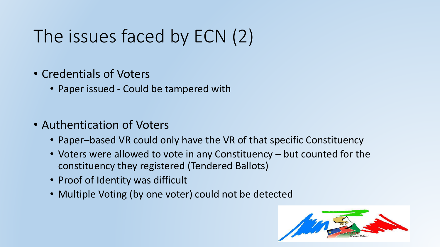# The issues faced by ECN (2)

#### • Credentials of Voters

- Paper issued Could be tampered with
- Authentication of Voters
	- Paper–based VR could only have the VR of that specific Constituency
	- Voters were allowed to vote in any Constituency but counted for the constituency they registered (Tendered Ballots)
	- Proof of Identity was difficult
	- Multiple Voting (by one voter) could not be detected

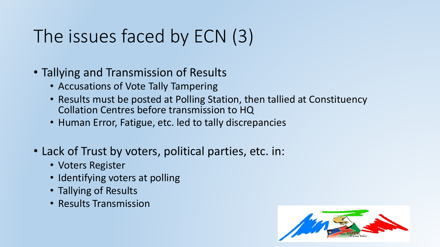# The issues faced by ECN (3)

#### • Tallying and Transmission of Results

- Accusations of Vote Tally Tampering
- Results must be posted at Polling Station, then tallied at Constituency Collation Centres before transmission to HQ
- Human Error, Fatigue, etc. led to tally discrepancies
- Lack of Trust by voters, political parties, etc. in:
	- Voters Register
	- Identifying voters at polling
	- Tallying of Results
	- Results Transmission

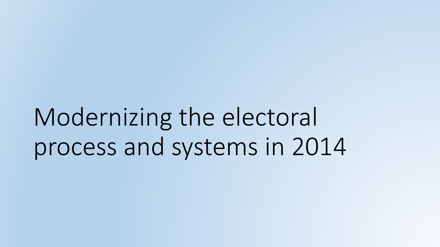Modernizing the electoral process and systems in 2014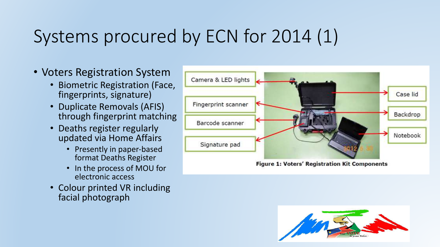# Systems procured by ECN for 2014 (1)

- Voters Registration System
	- Biometric Registration (Face, fingerprints, signature)
	- Duplicate Removals (AFIS) through fingerprint matching
	- Deaths register regularly updated via Home Affairs
		- Presently in paper-based format Deaths Register
		- In the process of MOU for electronic access
	- Colour printed VR including facial photograph



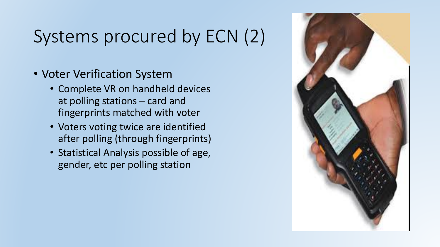## Systems procured by ECN (2)

- Voter Verification System
	- Complete VR on handheld devices at polling stations  $-$  card and fingerprints matched with voter
	- Voters voting twice are identified after polling (through fingerprints)
	- Statistical Analysis possible of age, gender, etc per polling station

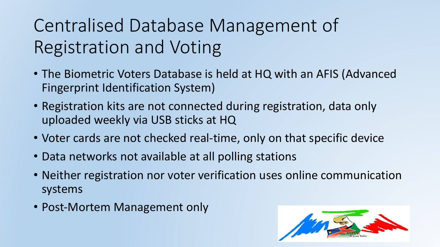# Centralised Database Management of Registration and Voting

- The Biometric Voters Database is held at HQ with an AFIS (Advanced Fingerprint Identification System)
- Registration kits are not connected during registration, data only uploaded weekly via USB sticks at HQ
- Voter cards are not checked real-time, only on that specific device
- Data networks not available at all polling stations
- Neither registration nor voter verification uses online communication systems
- Post-Mortem Management only

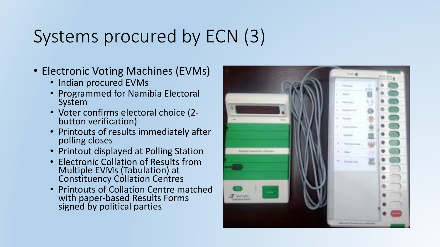# Systems procured by ECN (3)

- Electronic Voting Machines (EVMs)
	- Indian procured EVMs
	- Programmed for Namibia Electoral System
	- Voter confirms electoral choice (2-<br>button verification)
	- Printouts of results immediately after polling closes
	- Printout displayed at Polling Station
	- Electronic Collation of Results from Multiple EVMs (Tabulation) at Constituency Collation Centres
	- Printouts of Collation Centre matched with paper-based Results Forms signed by political parties

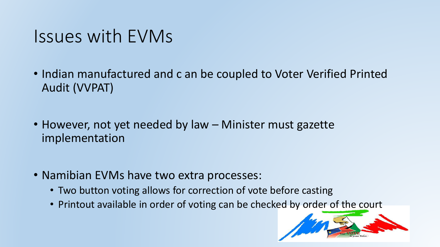#### Issues with EVMs

- Indian manufactured and c an be coupled to Voter Verified Printed Audit (VVPAT)
- However, not yet needed by law Minister must gazette implementation
- Namibian EVMs have two extra processes:
	- Two button voting allows for correction of vote before casting
	- Printout available in order of voting can be checked by order of the court

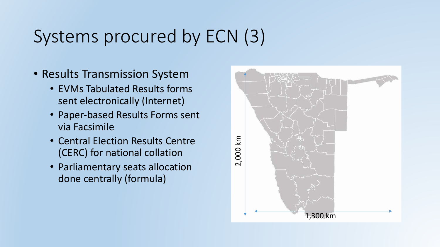## Systems procured by ECN (3)

- Results Transmission System
	- EVMs Tabulated Results forms sent electronically (Internet)
	- Paper-based Results Forms sent via Facsimile
	- Central Election Results Centre (CERC) for national collation
	- Parliamentary seats allocation done centrally (formula)

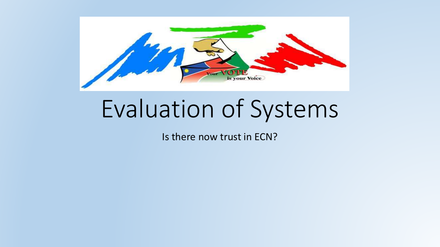

# Evaluation of Systems

Is there now trust in ECN?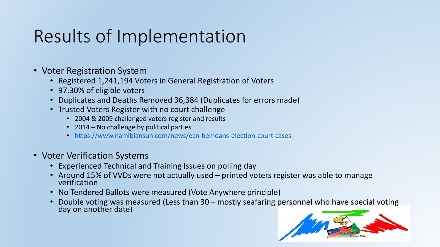### Results of Implementation

- Voter Registration System
	- Registered 1,241,194 Voters in General Registration of Voters
	- 97.30% of eligible voters
	- Duplicates and Deaths Removed 36,384 (Duplicates for errors made)
	- Trusted Voters Register with no court challenge
		- 2004 & 2009 challenged voters register and results
		- 2014 No challenge by political parties
		- https://www.namibiansun.com/news/ecn-bemoans-election-court-cases
- Voter Verification Systems
	- Experienced Technical and Training Issues on polling day
	- Around 15% of VVDs were not actually used printed voters register was able to manage verification
	- No Tendered Ballots were measured (Vote Anywhere principle)
	- Double voting was measured (Less than 30 mostly seafaring personnel who have special voting day on another date)

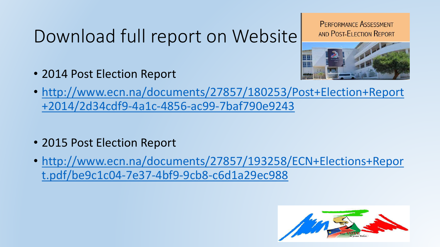### Download full report on Website

**PERFORMANCE ASSESSMENT** AND POST-ELECTION REPORT



- 2014 Post Election Report
- http://www.ecn.na/documents/27857/180253/Post+Election+Report +2014/2d34cdf9-4a1c-4856-ac99-7baf790e9243
- 2015 Post Election Report
- http://www.ecn.na/documents/27857/193258/ECN+Elections+Repor t.pdf/be9c1c04-7e37-4bf9-9cb8-c6d1a29ec988

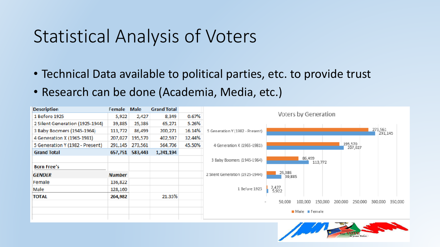#### Statistical Analysis of Voters

- Technical Data available to political parties, etc. to provide trust
- Research can be done (Academia, Media, etc.)



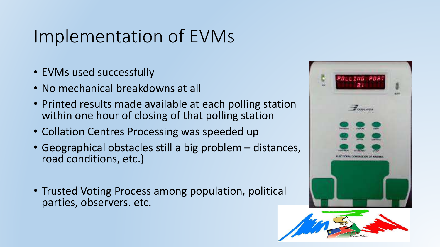### Implementation of EVMs

- EVMs used successfully
- No mechanical breakdowns at all
- Printed results made available at each polling station within one hour of closing of that polling station
- Collation Centres Processing was speeded up
- Geographical obstacles still a big problem distances, road conditions, etc.)
- Trusted Voting Process among population, political parties, observers. etc.

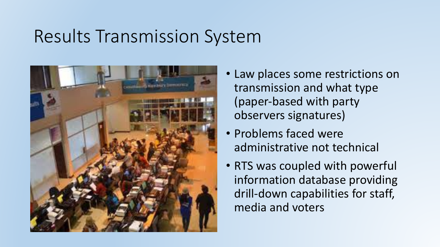#### Results Transmission System



- Law places some restrictions on transmission and what type (paper-based with party observers signatures)
- Problems faced were administrative not technical
- RTS was coupled with powerful information database providing drill-down capabilities for staff, media and voters